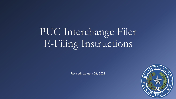PUC Interchange Filer E-Filing Instructions

Revised: January 26, 2022

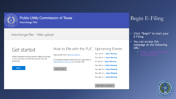

### Interchange Filer - Web upload

## Get started

Please complete the filing process within 20 minutes or you may have to restart the process from the beginning.



### How to File with the PUC Upcoming Events

Here are the PUC's filing procedures.

For assistance please contact the PUC Help Desk at: helpdesk@puc.texas.gov or 512-936-7100.

Learn more »

Thu, Jan 27 - Open Meeting Thu, Feb 10 - Open Meeting Fri, Feb 25 - Open Meeting Tue, Mar 8 - Public Meeting Thu, Mar 10 - Open Meeting Thu, Mar 31 - Open Meeting Thu, Apr 21 - Open Meeting

View agency calendar »

# Begin E-Filing

- Click "Begin" to start your E-Filing
- You can access this webpage at the following URL:
	-

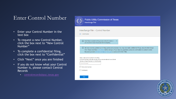## Enter Control Number

- Enter your Control Number in the text box
- To request a new Control Number, click the box next to "New Control Number"
- To complete a confidential filing, click the box next to "Confidential"
- Click "Next" once you are finished
- If you do not know what your Control Number is, please contact Central Records
	- [centralrecords@puc.texas.gov](mailto:centralrecords@puc.texas.gov)



**Public Utility Commission of Texas** Interchange Filer

#### Interchange Filer - Control Number

 $\hat{m} \setminus$  Control Number

(i) Note: Please complete the filing process within 20 minutes or you may have to restart the process from the begining.

(i) We have recently updated our E-Filing system and processes. You may now make confidential filings using the Interchange Filer. Please read these instructions before doing so. If you have any questions, please do not hesitate to contact Central Records by email (centralrecords@puc.texas.gov) or phone (512-936-7180).

 $\times$ 

Enter a valid control number for this filing. A Control Number is five-digit number that can also be referred to as a Docket Number, a Project Number, or a Tariff Number.

**Control Number** 

New control number

Confidential

**Next** 

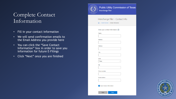# Complete Contact Information

- Fill in your contact information
- We will send confirmation emails to the Email Address you provide here
- You can click the "Save Contact Information" box in order to save you information for future E-Filings
- Click "Next" once you are finished



**Public Utility Commission of Texas** Interchange Filer

### Interchange Filer - Contact Info

∩ \ Control Number \ Contact Information

Enter your contact information. ?





Save Contact Information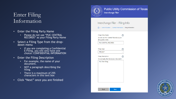# Enter Filing Information

- Enter the Filing Party Name
	- Please do not use "PUC CENTRAL RECORDS" as your Filing Party Name
- Select a Filing Type from the drop- down menu
	- If you are completing a Confidential E-Filing, you will only have one choice: CONFIDENTIAL INFORMATION
- Enter the Filing Description
	- For example, the name of your document.
	- NOT a paragraph describing the filing.
	- There is a maximum of 255 characters in this text box
- Click "Next" once you are finished



**Public Utility Commission of Texas** Interchange Filer

### Interchange Filer - Filing Info

 $\widehat{m}$  \ Control Number \ Contact Information \ Filing Information

**Filing Party Name** ⑦ Do not use PUC Central Records as your filing party name. PUC CENTRAL RECORDS **Filing Type** ⑦ **PROJECT Filing Description** ② For example, the title of your document. **PUC Test Filing** 



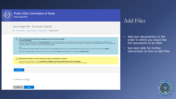

### **Public Utility Commission of Texas**

Interchange Filer

### Interchange Filer - Document Upload

 $\Omega$  \ Control Number \ Contact Information \ Filing Information \ Upload Documents

#### $(i)$  §22.72. Formal Requisites of Pleadings and Documents to be Filed with the Commission. (i) File format standards.

(2) Electronic filings shall be made using the native file format used to create and edit the file, unless the native file format is not on the current list of preferred file formats maintained by the commission referenced in paragraph (1) of this subsection. Microsoft Excel spreadsheets shall have active links and formulas that were used to create and manipulate the data in the spreadsheet. An application that fails to include the native file filings is materially deficient.

Note:

The PUC accepts most common file types: Word, PowerPoint, Excel, Word Perfect, text files, etc. There is a limit of 255 individual files per filing, with a total file size limitation of 400 MB.

If you have any questions about the types of files you can submit, or the size limitations, please contact the PUC Help Desk at (512) 936-7100.

#### Please attach documents to your filing in the order in which you would like them to be filed.

The documents you attach in Filer will be processed into a single PDF in the order in which the documents were attached. Therefore, if you attach a PDF and Word version of the same document, they will both end up in the PDF record copy that has a time stamp.

**Add Files** 

⚠

#### Addendum Included  $\odot$



## Add Files

- Add your document(s) in the order in which you would like the documents to be filed
- See next slide for further instructions on how to Add Files

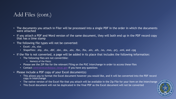# Add Files (cont.)

- The documents you attach in Filer will be processed into a single PDF in the order in which the documents were attached
- If you attach a PDF and Word version of the same document, they will both end up in the PDF record copy that has a time stamp
- The following file types will not be converted:
	- Excel: .xls, xlsx
	- Shapefiles: .shp, .shx, .dbf, .sbn, .sbx, .atx, .fbn, .fbx, .ain, .aih, .ixs, .mxs, .prj, .xml, and .cpg
- If the file is not converted, a page will be added in its place that includes the following information:
	- The following files are not convertible:
		- Name(s) of the file(s)
	- Please see the ZIP file for the relevant Filing on the PUC Interchange in order to access these files
	- Contact [centralrecords@puc.texas.gov](mailto:centralrecords@puc.texas.gov) if you have any questions
- Please include a PDF copy of your Excel document(s)
	- This allows you to format the Excel document however you would like, and it will be converted into the PDF record copy in Interchange
	- The native version of the Excel file that you attach will be available in the Zip File for your Item on the Interchange
	- This Excel document will not be duplicated in the final PDF as the Excel document will not be converted

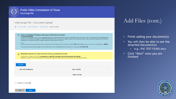

#### Interchange Filer - Document Upload

 $\overbrace{\mathsf{n}}$  \ Control Number \ Contact Information \ Filing Information \ Upload Documents

#### $\bigcap$ §22.72. Formal Requisites of Pleadings and Documents to be Filed with the Commission. (i) File format standards.

(2) Electronic filings shall be made using the native file format used to create and edit the file, unless the native file format is not on the current list of preferred file formats maintained by the commission referenced in paragraph (1) of this subsection. Microsoft Excel spreadsheets shall have active links and formulas that were used to create and manipulate the data in the spreadsheet. An application that fails to include the native file filings is materially deficient.

Note:

The PUC accepts most common file types: Word, PowerPoint, Excel, Word Perfect, text files, etc. There is a limit of 255 individual files per filing, with a total file size limitation of 400 MB.

If you have any questions about the types of files you can submit, or the size limitations, please contact the PUC Help Desk at (512) 936-7100.

#### Please attach documents to your filing in the order in which you would like them to be filed. A

The documents you attach in Filer will be processed into a single PDF in the order in which the documents were attached. Therefore, if you attach a PDF and Word version of the same document, they will both end up in the PDF record copy that has a time stamp.



# Add Files (cont.)

- Finish adding your document(s)
- You will then be able to see the attached document(s)
	- e.g., PUC TEST FILING.docx
- Click "Next" once you are finished



**Next**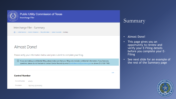

### Interchange Filer - Summary

∩ \ Control Number \ Contact Information \ Filing Information \ Upload Documents \ Summary

## Almost Done!

Please verify your information below and press submit to complete your filing.

(i) If you are making a confidential filing, please make sure that your filing only includes confidential information. If you have any questions, please do not hesitate to contact Central Records by email (centralrecords@puc.texas.gov) or phone (512-936-7180).

Edit

#### **Control Number**

**Control Number** 47425

Description **TESTING SCANNING** 

## Summary

### • Almost Done!

- This page gives you an opportunity to review and verify your E-Filing details before you complete your E-**Filing**
- See next slide for an example of the rest of the Summary page

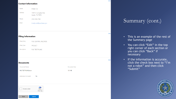#### **Contact Information**

| Name         | <b>Brady Cox</b>                                 |
|--------------|--------------------------------------------------|
| Address      | 1701 N. Congress Ave.<br><b>Austin, TX 78701</b> |
| Phone        | (512) 936-7180                                   |
| <b>Email</b> | brady.cox@puc.texas.gov                          |

#### **Filing Information**

Back

| <b>Filing Party</b> | PUC CENTRAL RECORDS |
|---------------------|---------------------|
| Filing Type         | <b>PROJECT</b>      |
| Description         | PUC TEST FILING     |

Submit

### Edit **Documents** Document Name **Document Size** PUC TEST FILING.docx 13.1 KB **No** Addendum Included I'm not a robot reCAPTCHA Privacy - Terms

# Summary (cont.)

Edit

Edit

### • This is an example of the rest of the Summary page

- You can click "Edit" in the top right corner of each section or you can click "Back" if necessary
- If the information is accurate, click the check box next to "I'm not a robot" and then click "Submit"

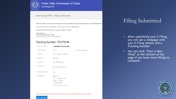

#### Interchange Filer - Filing Submitted

We have received your E-Filing.You will receive an E-Filing Confirmation email shortly, followed by an E-Filing Receipt email.

Once you receive the E-Filing Receipt - the second email - you are finished filing.

Please contact Central Records if you have any questions. Thanks!

**Central Records** Public Utility Commission of Texas centralrecords@puc.texas.gov | 512-936-7180

### Tracking Number: TEJZTEHN

| Filing Submitted on   | 1/26/2022 10:21:26 AM                                                                                      |                         |
|-----------------------|------------------------------------------------------------------------------------------------------------|-------------------------|
| <b>Control Number</b> | 47425                                                                                                      | <b>TESTING SCANNING</b> |
| <b>Filing Party</b>   | PUC CENTRAL RECORDS                                                                                        |                         |
| <b>Filing Type</b>    | <b>PROJECT</b>                                                                                             |                         |
| Description           | <b>PUC TEST FILING</b>                                                                                     |                         |
| Documents             | <b>PUC TEST FILING.docx</b>                                                                                |                         |
| Addendum Included     | <b>No</b>                                                                                                  |                         |
| Submitted By          | <b>Brady Cox</b><br>1701 N. Congress Ave.<br>Austin, TX 78701<br>(512) 936-7180<br>brady.cox@puc.texas.gov |                         |

#### An email confirmation has been sent to brady.cox@puc.texas.gov. Please check your spam/junk folders.

# Filing Submitted

- After submitting your E-Filing, you will see a webpage with your E-Filing details and a Tracking Number
- You can click "Start a New filing" at the bottom of the page if you have more filings to complete



Start a New filing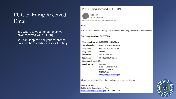# PUC E-Filing Received Email

- You will receive an email once we have received your E-Filing
- You can keep this for your reference until we have confirmed your E-Filing

### PUC E-Filing Received: TEJZTEHN



To **O** Brady Cox Retention Policy 30 Days Delete Inbox (30 days)

Hello,

We have received your E-Filing. You will receive an E-Filing Confirmation email shortly.

#### **Tracking Number: TEJZTEHN**

Filing Submitted on 1/26/2022 10:21:26 AM **Control Number** 47425 TESTING SCANNING **Filing Party** PUC CENTRAL RECORDS **Filing Type** PROJECT **Description** PUC TEST FILING **Documents** PUC TEST FILING.docx Addendum Included No **Submitted By** Brady Cox 1701 N. Congress Ave. Austin, TX 78701 5129367180 brady.cox@puc.texas.gov

Please contact Central Records if you have any questions. Thanks!

Central Records Public Utility Commission of Texas centralrecords@puc.texas.gov | 512-936-7180

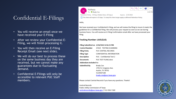# Confidential E-Filings

- You will receive an email once we have received your E-Filing
- After we review your Confidential E-Filing, we will finish processing it.
- You will then receive an E-Filing Receipt Email (see next slide).
- We will do our best to process these on the same business day they are received, but we cannot make any guarantees due to fluctuating demand.
- Confidential E-Filings will only be accessible to relevant PUC Staff members.

NoReply **O** Brady Cox Retention Policy 30 Days Delete Inbox (30 days) Expires 2/25/2022 (i) This item will expire in 30 days. To keep this item longer apply a different Retention Policy.

#### Hello,

We have received your Confidential E-Filing, and we will review the filing to insure it meets the guidelines for a Confidential Filing. We will process your request as soon as we can during business hours. You will receive an E-Filing Confirmation email after we have processed your filing.

#### Tracking Number: LAOLZLJQ

#### Filing Submitted on 1/26/2022 6:56:23 PM

| <b>Control Number</b> | 47425 TESTING SCANNING    |  |
|-----------------------|---------------------------|--|
| Filing Party          | PUC CENTRAL RECORDS       |  |
| Filing Type           | CONFIDENTIAL INFORMATION  |  |
| Description           | PUC - Confidential Test 2 |  |
| Documents             | PUC TEST FILING docx      |  |
| Addendum Included No  |                           |  |
| Submitted By          | Brady Cox                 |  |
|                       | 1701 N. Congress Ave.     |  |
|                       | Austin, TX 78701          |  |
|                       | 5129367180                |  |
|                       | brady.cox@puc.texas.gov   |  |
|                       |                           |  |

Please contact Central Records if you have any questions. Thanks!

Central Records Public Utility Commission of Texas centralrecords@puc.texas.gov | 512-936-7180



6:56 PM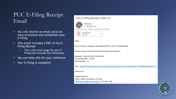# PUC E-Filing Receipt Email

- You will receive an email once we have processed and completed your E-Filing
- This email includes a PDF of the E-Filing Receipt
	- This is the cover page for your E-Filing that includes the timestamp
- You can keep this for your reference
- Your E-Filing is complete!

### PUC E-Filing Receipt: 47425-21



Hello,

Your E-Filing is complete. The attached PDF is your E-Filing Receipt.

Please contact Central Records if you have any questions.

Received - 2022-01-26 10:26:28 AM Control Number - 47425 Item Number - 21

URL - https://interchange.puc.texas.gov/search/documents/?controlNumber=47425&itemNumber=21

Thank you!

Central Records Public Utility Commission of Texas centralrecords@puc.texas.gov | 512-936-7180

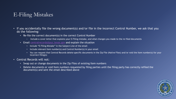# E-Filing Mistakes

- If you accidentally file the wrong document(s) and/or file in the incorrect Control Number, we ask that you do the following:
	- Re-file the correct document(s) in the correct Control Number
		- Include a cover letter that explains your E-Filing mistake, and what changes you made to the re-filed documents
	- Email [centralrecords@puc.texas.gov](mailto:centralrecords@puc.Texas.gov) and explain the situation
		- Include "E-Filing Mistake" in the Subject Line of the email
		- Include relevant Item number(s) and Control Number(s) in your email
		- You can request that Central Records delete specific documents in the Zip File (Native Files) and/or void the Item number(s) for your incorrect filing(s)
- Central Records will not:
	- Swap out or change documents in the Zip Files of existing Item numbers
	- Delete documents or void Item numbers requested by filing parties until the filing party has correctly refiled the document(s) and sent the email described above